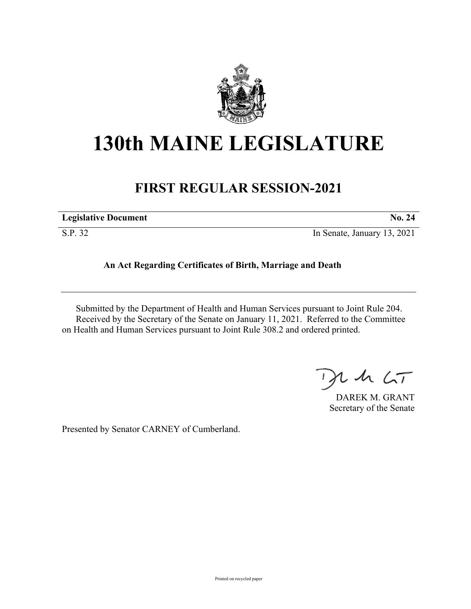

## **130th MAINE LEGISLATURE**

## **FIRST REGULAR SESSION-2021**

| <b>Legislative Document</b> | <b>No. 24</b>               |
|-----------------------------|-----------------------------|
| S.P. 32                     | In Senate, January 13, 2021 |

**An Act Regarding Certificates of Birth, Marriage and Death**

Submitted by the Department of Health and Human Services pursuant to Joint Rule 204. Received by the Secretary of the Senate on January 11, 2021. Referred to the Committee on Health and Human Services pursuant to Joint Rule 308.2 and ordered printed.

 $1157$ 

DAREK M. GRANT Secretary of the Senate

Presented by Senator CARNEY of Cumberland.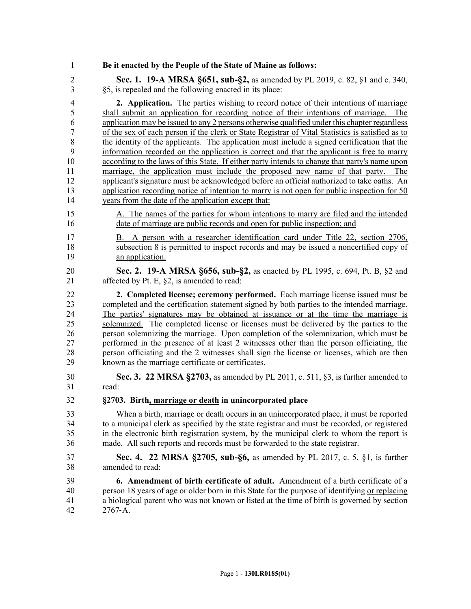1 **Be it enacted by the People of the State of Maine as follows:**

2 **Sec. 1. 19-A MRSA §651, sub-§2,** as amended by PL 2019, c. 82, §1 and c. 340, 3 §5, is repealed and the following enacted in its place:

4 **2. Application.** The parties wishing to record notice of their intentions of marriage 5 shall submit an application for recording notice of their intentions of marriage. The 6 application may be issued to any 2 persons otherwise qualified under this chapter regardless 7 of the sex of each person if the clerk or State Registrar of Vital Statistics is satisfied as to 8 the identity of the applicants. The application must include a signed certification that the 9 information recorded on the application is correct and that the applicant is free to marry 10 according to the laws of this State. If either party intends to change that party's name upon 11 marriage, the application must include the proposed new name of that party. The 12 applicant's signature must be acknowledged before an official authorized to take oaths. An 13 application recording notice of intention to marry is not open for public inspection for 50 14 years from the date of the application except that:

- 15 A. The names of the parties for whom intentions to marry are filed and the intended 16 date of marriage are public records and open for public inspection; and
- 17 B. A person with a researcher identification card under Title 22, section 2706, 18 subsection 8 is permitted to inspect records and may be issued a noncertified copy of 19 an application.
- 20 **Sec. 2. 19-A MRSA §656, sub-§2,** as enacted by PL 1995, c. 694, Pt. B, §2 and 21 affected by Pt. E, §2, is amended to read:

22 **2. Completed license; ceremony performed.** Each marriage license issued must be 23 completed and the certification statement signed by both parties to the intended marriage. 24 The parties' signatures may be obtained at issuance or at the time the marriage is 25 solemnized. The completed license or licenses must be delivered by the parties to the 26 person solemnizing the marriage. Upon completion of the solemnization, which must be 27 performed in the presence of at least 2 witnesses other than the person officiating, the 28 person officiating and the 2 witnesses shall sign the license or licenses, which are then 29 known as the marriage certificate or certificates.

- 30 **Sec. 3. 22 MRSA §2703,** as amended by PL 2011, c. 511, §3, is further amended to 31 read:
- 32 **§2703. Birth, marriage or death in unincorporated place**

33 When a birth, marriage or death occurs in an unincorporated place, it must be reported 34 to a municipal clerk as specified by the state registrar and must be recorded, or registered 35 in the electronic birth registration system, by the municipal clerk to whom the report is 36 made. All such reports and records must be forwarded to the state registrar.

37 **Sec. 4. 22 MRSA §2705, sub-§6,** as amended by PL 2017, c. 5, §1, is further 38 amended to read:

39 **6. Amendment of birth certificate of adult.** Amendment of a birth certificate of a 40 person 18 years of age or older born in this State for the purpose of identifying or replacing 41 a biological parent who was not known or listed at the time of birth is governed by section 42 2767‑A.